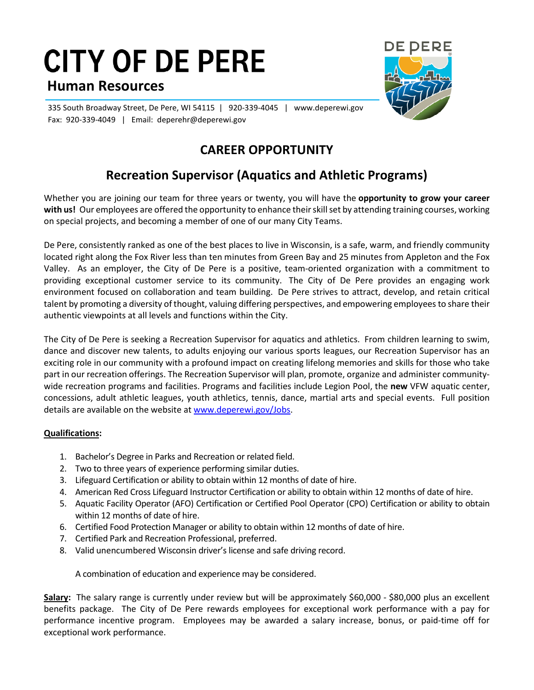## **CITY OF DE PERE Human Resources**



335 South Broadway Street, De Pere, WI 54115 | 920-339-4045 | www.deperewi.gov Fax: 920-339-4049 | Email: deperehr@deperewi.gov

## **CAREER OPPORTUNITY**

## **Recreation Supervisor (Aquatics and Athletic Programs)**

Whether you are joining our team for three years or twenty, you will have the **opportunity to grow your career with us!** Our employees are offered the opportunity to enhance their skill set by attending training courses, working on special projects, and becoming a member of one of our many City Teams.

De Pere, consistently ranked as one of the best places to live in Wisconsin, is a safe, warm, and friendly community located right along the Fox River less than ten minutes from Green Bay and 25 minutes from Appleton and the Fox Valley. As an employer, the City of De Pere is a positive, team-oriented organization with a commitment to providing exceptional customer service to its community. The City of De Pere provides an engaging work environment focused on collaboration and team building. De Pere strives to attract, develop, and retain critical talent by promoting a diversity of thought, valuing differing perspectives, and empowering employees to share their authentic viewpoints at all levels and functions within the City.

The City of De Pere is seeking a Recreation Supervisor for aquatics and athletics. From children learning to swim, dance and discover new talents, to adults enjoying our various sports leagues, our Recreation Supervisor has an exciting role in our community with a profound impact on creating lifelong memories and skills for those who take part in our recreation offerings. The Recreation Supervisor will plan, promote, organize and administer communitywide recreation programs and facilities. Programs and facilities include Legion Pool, the **new** VFW aquatic center, concessions, adult athletic leagues, youth athletics, tennis, dance, martial arts and special events. Full position details are available on the website at [www.deperewi.gov/Jobs.](http://www.deperewi.gov/Jobs)

## **Qualifications:**

- 1. Bachelor's Degree in Parks and Recreation or related field.
- 2. Two to three years of experience performing similar duties.
- 3. Lifeguard Certification or ability to obtain within 12 months of date of hire.
- 4. American Red Cross Lifeguard Instructor Certification or ability to obtain within 12 months of date of hire.
- 5. Aquatic Facility Operator (AFO) Certification or Certified Pool Operator (CPO) Certification or ability to obtain within 12 months of date of hire.
- 6. Certified Food Protection Manager or ability to obtain within 12 months of date of hire.
- 7. Certified Park and Recreation Professional, preferred.
- 8. Valid unencumbered Wisconsin driver's license and safe driving record.

A combination of education and experience may be considered.

**Salary:** The salary range is currently under review but will be approximately \$60,000 - \$80,000 plus an excellent benefits package. The City of De Pere rewards employees for exceptional work performance with a pay for performance incentive program. Employees may be awarded a salary increase, bonus, or paid-time off for exceptional work performance.